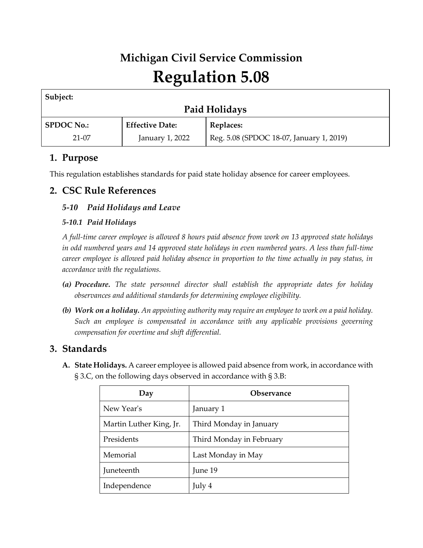# **Michigan Civil Service Commission Regulation 5.08**

| Subject:          |                        |                                          |  |  |
|-------------------|------------------------|------------------------------------------|--|--|
| Paid Holidays     |                        |                                          |  |  |
| <b>SPDOC No.:</b> | <b>Effective Date:</b> | <b>Replaces:</b>                         |  |  |
| $21-07$           | January 1, 2022        | Reg. 5.08 (SPDOC 18-07, January 1, 2019) |  |  |

# **1. Purpose**

This regulation establishes standards for paid state holiday absence for career employees.

## **2. CSC Rule References**

## *5-10 Paid Holidays and Leave*

### *5-10.1 Paid Holidays*

*A full-time career employee is allowed 8 hours paid absence from work on 13 approved state holidays in odd numbered years and 14 approved state holidays in even numbered years. A less than full-time career employee is allowed paid holiday absence in proportion to the time actually in pay status, in accordance with the regulations.*

- *(a) Procedure. The state personnel director shall establish the appropriate dates for holiday observances and additional standards for determining employee eligibility.*
- *(b) Work on a holiday. An appointing authority may require an employee to work on a paid holiday. Such an employee is compensated in accordance with any applicable provisions governing compensation for overtime and shift differential.*

# **3. Standards**

**A. State Holidays.** A career employee is allowed paid absence from work, in accordance with § 3.C, on the following days observed in accordance with § 3.B:

| Day                     | <b>Observance</b>        |
|-------------------------|--------------------------|
| New Year's              | January 1                |
| Martin Luther King, Jr. | Third Monday in January  |
| Presidents              | Third Monday in February |
| Memorial                | Last Monday in May       |
| Juneteenth              | June 19                  |
| Independence            | July 4                   |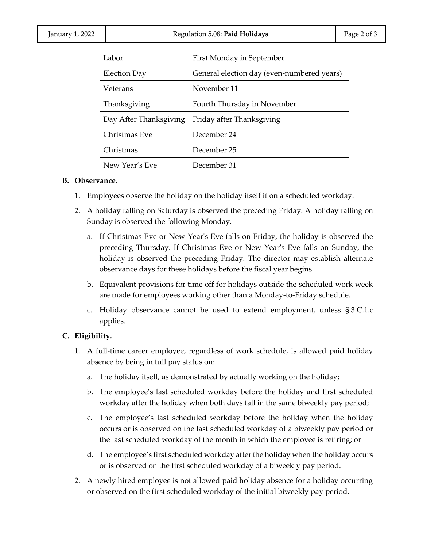| Labor                  | First Monday in September                  |
|------------------------|--------------------------------------------|
| Election Day           | General election day (even-numbered years) |
| Veterans               | November 11                                |
| Thanksgiving           | Fourth Thursday in November                |
| Day After Thanksgiving | Friday after Thanksgiving                  |
| Christmas Eve          | December 24                                |
| Christmas              | December 25                                |
| New Year's Eve         | December 31                                |

#### **B. Observance.**

- 1. Employees observe the holiday on the holiday itself if on a scheduled workday.
- 2. A holiday falling on Saturday is observed the preceding Friday. A holiday falling on Sunday is observed the following Monday.
	- a. If Christmas Eve or New Year's Eve falls on Friday, the holiday is observed the preceding Thursday. If Christmas Eve or New Year's Eve falls on Sunday, the holiday is observed the preceding Friday. The director may establish alternate observance days for these holidays before the fiscal year begins.
	- b. Equivalent provisions for time off for holidays outside the scheduled work week are made for employees working other than a Monday-to-Friday schedule.
	- c. Holiday observance cannot be used to extend employment, unless § 3.C.1.c applies.

#### **C. Eligibility.**

- 1. A full-time career employee, regardless of work schedule, is allowed paid holiday absence by being in full pay status on:
	- a. The holiday itself, as demonstrated by actually working on the holiday;
	- b. The employee's last scheduled workday before the holiday and first scheduled workday after the holiday when both days fall in the same biweekly pay period;
	- c. The employee's last scheduled workday before the holiday when the holiday occurs or is observed on the last scheduled workday of a biweekly pay period or the last scheduled workday of the month in which the employee is retiring; or
	- d. The employee's first scheduled workday after the holiday when the holiday occurs or is observed on the first scheduled workday of a biweekly pay period.
- 2. A newly hired employee is not allowed paid holiday absence for a holiday occurring or observed on the first scheduled workday of the initial biweekly pay period.